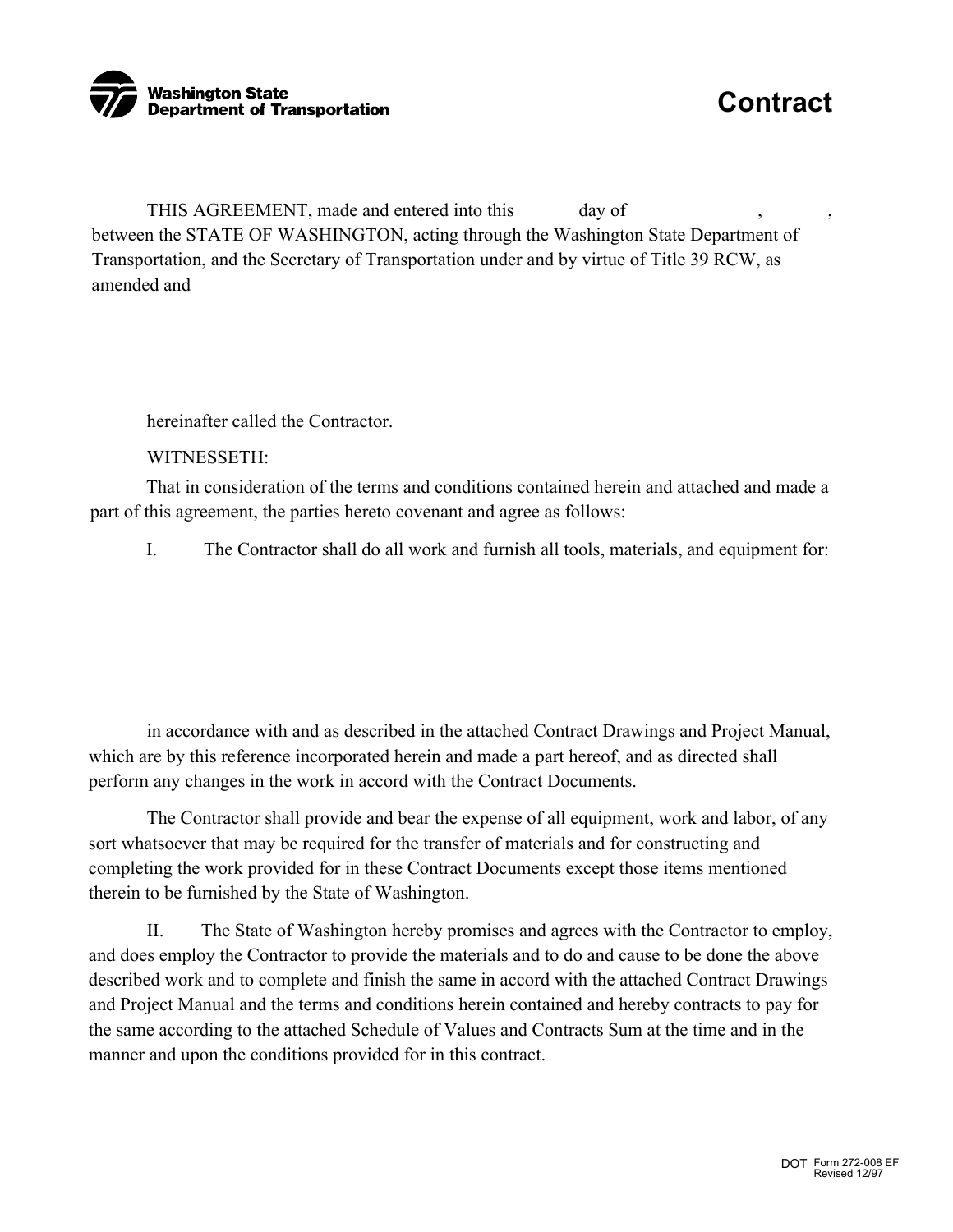

THIS AGREEMENT, made and entered into this day of between the STATE OF WASHINGTON, acting through the Washington State Department of Transportation, and the Secretary of Transportation under and by virtue of Title 39 RCW, as amended and

hereinafter called the Contractor.

WITNESSETH:

That in consideration of the terms and conditions contained herein and attached and made a part of this agreement, the parties hereto covenant and agree as follows:

I. The Contractor shall do all work and furnish all tools, materials, and equipment for:

in accordance with and as described in the attached Contract Drawings and Project Manual, which are by this reference incorporated herein and made a part hereof, and as directed shall perform any changes in the work in accord with the Contract Documents.

The Contractor shall provide and bear the expense of all equipment, work and labor, of any sort whatsoever that may be required for the transfer of materials and for constructing and completing the work provided for in these Contract Documents except those items mentioned therein to be furnished by the State of Washington.

II. The State of Washington hereby promises and agrees with the Contractor to employ, and does employ the Contractor to provide the materials and to do and cause to be done the above described work and to complete and finish the same in accord with the attached Contract Drawings and Project Manual and the terms and conditions herein contained and hereby contracts to pay for the same according to the attached Schedule of Values and Contracts Sum at the time and in the manner and upon the conditions provided for in this contract.